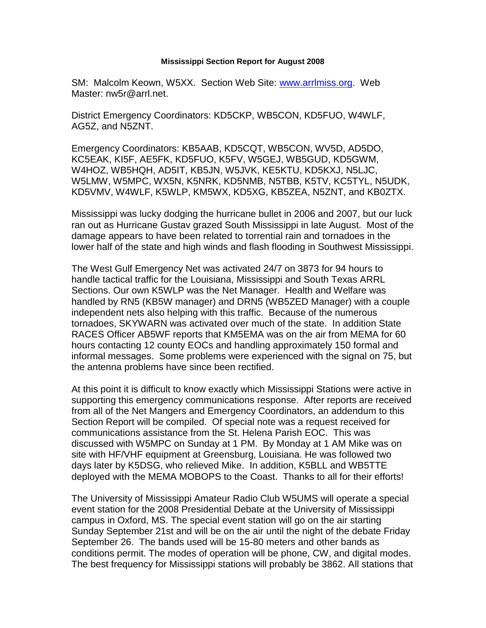## **Mississippi Section Report for August 2008**

SM: Malcolm Keown, W5XX. Section Web Site: [www.arrlmiss.org.](http://www.arrlmiss.org/) Web Master: nw5r@arrl.net.

District Emergency Coordinators: KD5CKP, WB5CON, KD5FUO, W4WLF, AG5Z, and N5ZNT.

Emergency Coordinators: KB5AAB, KD5CQT, WB5CON, WV5D, AD5DO, KC5EAK, KI5F, AE5FK, KD5FUO, K5FV, W5GEJ, WB5GUD, KD5GWM, W4HOZ, WB5HQH, AD5IT, KB5JN, W5JVK, KE5KTU, KD5KXJ, N5LJC, W5LMW, W5MPC, WX5N, K5NRK, KD5NMB, N5TBB, K5TV, KC5TYL, N5UDK, KD5VMV, W4WLF, K5WLP, KM5WX, KD5XG, KB5ZEA, N5ZNT, and KB0ZTX.

Mississippi was lucky dodging the hurricane bullet in 2006 and 2007, but our luck ran out as Hurricane Gustav grazed South Mississippi in late August. Most of the damage appears to have been related to torrential rain and tornadoes in the lower half of the state and high winds and flash flooding in Southwest Mississippi.

The West Gulf Emergency Net was activated 24/7 on 3873 for 94 hours to handle tactical traffic for the Louisiana, Mississippi and South Texas ARRL Sections. Our own K5WLP was the Net Manager. Health and Welfare was handled by RN5 (KB5W manager) and DRN5 (WB5ZED Manager) with a couple independent nets also helping with this traffic. Because of the numerous tornadoes, SKYWARN was activated over much of the state. In addition State RACES Officer AB5WF reports that KM5EMA was on the air from MEMA for 60 hours contacting 12 county EOCs and handling approximately 150 formal and informal messages. Some problems were experienced with the signal on 75, but the antenna problems have since been rectified.

At this point it is difficult to know exactly which Mississippi Stations were active in supporting this emergency communications response. After reports are received from all of the Net Mangers and Emergency Coordinators, an addendum to this Section Report will be compiled. Of special note was a request received for communications assistance from the St. Helena Parish EOC. This was discussed with W5MPC on Sunday at 1 PM. By Monday at 1 AM Mike was on site with HF/VHF equipment at Greensburg, Louisiana. He was followed two days later by K5DSG, who relieved Mike. In addition, K5BLL and WB5TTE deployed with the MEMA MOBOPS to the Coast. Thanks to all for their efforts!

The University of Mississippi Amateur Radio Club W5UMS will operate a special event station for the 2008 Presidential Debate at the University of Mississippi campus in Oxford, MS. The special event station will go on the air starting Sunday September 21st and will be on the air until the night of the debate Friday September 26. The bands used will be 15-80 meters and other bands as conditions permit. The modes of operation will be phone, CW, and digital modes. The best frequency for Mississippi stations will probably be 3862. All stations that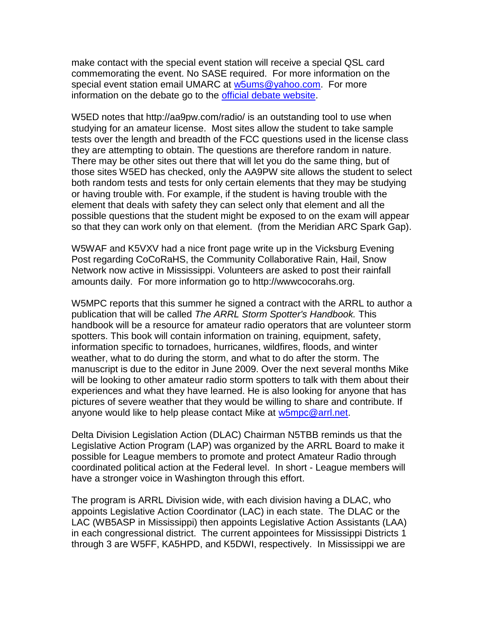make contact with the special event station will receive a special QSL card commemorating the event. No SASE required. For more information on the special event station email UMARC at [w5ums@yahoo.com.](mailto:w5ums@yahoo.com) For more information on the debate go to the **official debate website**.

W5ED notes that http://aa9pw.com/radio/ is an outstanding tool to use when studying for an amateur license. Most sites allow the student to take sample tests over the length and breadth of the FCC questions used in the license class they are attempting to obtain. The questions are therefore random in nature. There may be other sites out there that will let you do the same thing, but of those sites W5ED has checked, only the AA9PW site allows the student to select both random tests and tests for only certain elements that they may be studying or having trouble with. For example, if the student is having trouble with the element that deals with safety they can select only that element and all the possible questions that the student might be exposed to on the exam will appear so that they can work only on that element. (from the Meridian ARC Spark Gap).

W5WAF and K5VXV had a nice front page write up in the Vicksburg Evening Post regarding CoCoRaHS, the Community Collaborative Rain, Hail, Snow Network now active in Mississippi. Volunteers are asked to post their rainfall amounts daily. For more information go to http://wwwcocorahs.org.

W5MPC reports that this summer he signed a contract with the ARRL to author a publication that will be called *The ARRL Storm Spotter's Handbook.* This handbook will be a resource for amateur radio operators that are volunteer storm spotters. This book will contain information on training, equipment, safety, information specific to tornadoes, hurricanes, wildfires, floods, and winter weather, what to do during the storm, and what to do after the storm. The manuscript is due to the editor in June 2009. Over the next several months Mike will be looking to other amateur radio storm spotters to talk with them about their experiences and what they have learned. He is also looking for anyone that has pictures of severe weather that they would be willing to share and contribute. If anyone would like to help please contact Mike at [w5mpc@arrl.net.](mailto:w5mpc@arrl.net)

Delta Division Legislation Action (DLAC) Chairman N5TBB reminds us that the Legislative Action Program (LAP) was organized by the ARRL Board to make it possible for League members to promote and protect Amateur Radio through coordinated political action at the Federal level. In short - League members will have a stronger voice in Washington through this effort.

The program is ARRL Division wide, with each division having a DLAC, who appoints Legislative Action Coordinator (LAC) in each state. The DLAC or the LAC (WB5ASP in Mississippi) then appoints Legislative Action Assistants (LAA) in each congressional district. The current appointees for Mississippi Districts 1 through 3 are W5FF, KA5HPD, and K5DWI, respectively. In Mississippi we are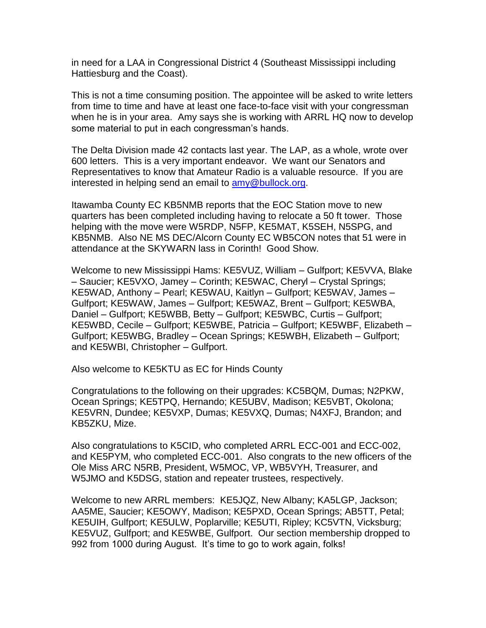in need for a LAA in Congressional District 4 (Southeast Mississippi including Hattiesburg and the Coast).

This is not a time consuming position. The appointee will be asked to write letters from time to time and have at least one face-to-face visit with your congressman when he is in your area. Amy says she is working with ARRL HQ now to develop some material to put in each congressman's hands.

The Delta Division made 42 contacts last year. The LAP, as a whole, wrote over 600 letters. This is a very important endeavor. We want our Senators and Representatives to know that Amateur Radio is a valuable resource. If you are interested in helping send an email to [amy@bullock.org.](mailto:amy@bullock.org)

Itawamba County EC KB5NMB reports that the EOC Station move to new quarters has been completed including having to relocate a 50 ft tower. Those helping with the move were W5RDP, N5FP, KE5MAT, K5SEH, N5SPG, and KB5NMB. Also NE MS DEC/Alcorn County EC WB5CON notes that 51 were in attendance at the SKYWARN lass in Corinth! Good Show.

Welcome to new Mississippi Hams: KE5VUZ, William – Gulfport; KE5VVA, Blake – Saucier; KE5VXO, Jamey – Corinth; KE5WAC, Cheryl – Crystal Springs; KE5WAD, Anthony – Pearl; KE5WAU, Kaitlyn – Gulfport; KE5WAV, James – Gulfport; KE5WAW, James – Gulfport; KE5WAZ, Brent – Gulfport; KE5WBA, Daniel – Gulfport; KE5WBB, Betty – Gulfport; KE5WBC, Curtis – Gulfport; KE5WBD, Cecile – Gulfport; KE5WBE, Patricia – Gulfport; KE5WBF, Elizabeth – Gulfport; KE5WBG, Bradley – Ocean Springs; KE5WBH, Elizabeth – Gulfport; and KE5WBI, Christopher – Gulfport.

Also welcome to KE5KTU as EC for Hinds County

Congratulations to the following on their upgrades: KC5BQM, Dumas; N2PKW, Ocean Springs; KE5TPQ, Hernando; KE5UBV, Madison; KE5VBT, Okolona; KE5VRN, Dundee; KE5VXP, Dumas; KE5VXQ, Dumas; N4XFJ, Brandon; and KB5ZKU, Mize.

Also congratulations to K5CID, who completed ARRL ECC-001 and ECC-002, and KE5PYM, who completed ECC-001. Also congrats to the new officers of the Ole Miss ARC N5RB, President, W5MOC, VP, WB5VYH, Treasurer, and W5JMO and K5DSG, station and repeater trustees, respectively.

Welcome to new ARRL members: KE5JQZ, New Albany; KA5LGP, Jackson; AA5ME, Saucier; KE5OWY, Madison; KE5PXD, Ocean Springs; AB5TT, Petal; KE5UIH, Gulfport; KE5ULW, Poplarville; KE5UTI, Ripley; KC5VTN, Vicksburg; KE5VUZ, Gulfport; and KE5WBE, Gulfport. Our section membership dropped to 992 from 1000 during August. It's time to go to work again, folks!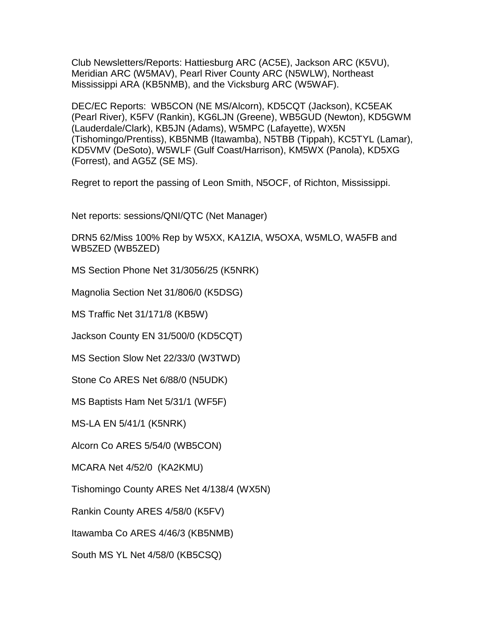Club Newsletters/Reports: Hattiesburg ARC (AC5E), Jackson ARC (K5VU), Meridian ARC (W5MAV), Pearl River County ARC (N5WLW), Northeast Mississippi ARA (KB5NMB), and the Vicksburg ARC (W5WAF).

DEC/EC Reports: WB5CON (NE MS/Alcorn), KD5CQT (Jackson), KC5EAK (Pearl River), K5FV (Rankin), KG6LJN (Greene), WB5GUD (Newton), KD5GWM (Lauderdale/Clark), KB5JN (Adams), W5MPC (Lafayette), WX5N (Tishomingo/Prentiss), KB5NMB (Itawamba), N5TBB (Tippah), KC5TYL (Lamar), KD5VMV (DeSoto), W5WLF (Gulf Coast/Harrison), KM5WX (Panola), KD5XG (Forrest), and AG5Z (SE MS).

Regret to report the passing of Leon Smith, N5OCF, of Richton, Mississippi.

Net reports: sessions/QNI/QTC (Net Manager)

DRN5 62/Miss 100% Rep by W5XX, KA1ZIA, W5OXA, W5MLO, WA5FB and WB5ZED (WB5ZED)

MS Section Phone Net 31/3056/25 (K5NRK)

Magnolia Section Net 31/806/0 (K5DSG)

MS Traffic Net 31/171/8 (KB5W)

Jackson County EN 31/500/0 (KD5CQT)

MS Section Slow Net 22/33/0 (W3TWD)

Stone Co ARES Net 6/88/0 (N5UDK)

MS Baptists Ham Net 5/31/1 (WF5F)

MS-LA EN 5/41/1 (K5NRK)

Alcorn Co ARES 5/54/0 (WB5CON)

MCARA Net 4/52/0 (KA2KMU)

Tishomingo County ARES Net 4/138/4 (WX5N)

Rankin County ARES 4/58/0 (K5FV)

Itawamba Co ARES 4/46/3 (KB5NMB)

South MS YL Net 4/58/0 (KB5CSQ)